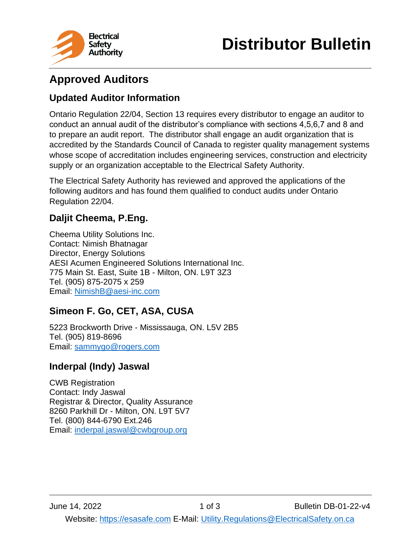

# **Approved Auditors**

## **Updated Auditor Information**

Ontario Regulation 22/04, Section 13 requires every distributor to engage an auditor to conduct an annual audit of the distributor's compliance with sections 4,5,6,7 and 8 and to prepare an audit report. The distributor shall engage an audit organization that is accredited by the Standards Council of Canada to register quality management systems whose scope of accreditation includes engineering services, construction and electricity supply or an organization acceptable to the Electrical Safety Authority.

The Electrical Safety Authority has reviewed and approved the applications of the following auditors and has found them qualified to conduct audits under Ontario Regulation 22/04.

# **Daljit Cheema, P.Eng.**

Cheema Utility Solutions Inc. Contact: Nimish Bhatnagar Director, Energy Solutions AESI Acumen Engineered Solutions International Inc. 775 Main St. East, Suite 1B - Milton, ON. L9T 3Z3 Tel. (905) 875-2075 x 259 Email: [NimishB@aesi-inc.com](mailto:NimishB@aesi-inc.com)

## **Simeon F. Go, CET, ASA, CUSA**

5223 Brockworth Drive - Mississauga, ON. L5V 2B5 Tel. (905) 819-8696 Email: [sammygo@rogers.com](mailto:sammygo@rogers.com)

#### **Inderpal (Indy) Jaswal**

CWB Registration Contact: Indy Jaswal Registrar & Director, Quality Assurance 8260 Parkhill Dr - Milton, ON. L9T 5V7 Tel. (800) 844-6790 Ext.246 Email: [inderpal.jaswal@cwbgroup.org](mailto:inderpal.jaswal@cwbgroup.org)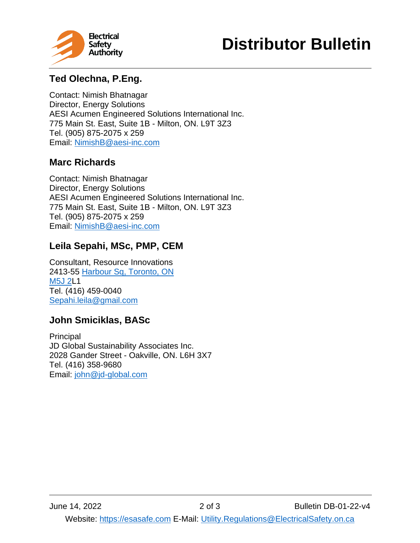



# **Ted Olechna, P.Eng.**

Contact: Nimish Bhatnagar Director, Energy Solutions AESI Acumen Engineered Solutions International Inc. 775 Main St. East, Suite 1B - Milton, ON. L9T 3Z3 Tel. (905) 875-2075 x 259 Email: [NimishB@aesi-inc.com](mailto:NimishB@aesi-inc.com)

#### **Marc Richards**

Contact: Nimish Bhatnagar Director, Energy Solutions AESI Acumen Engineered Solutions International Inc. 775 Main St. East, Suite 1B - Milton, ON. L9T 3Z3 Tel. (905) 875-2075 x 259 Email: [NimishB@aesi-inc.com](mailto:NimishB@aesi-inc.com)

# **Leila Sepahi, MSc, PMP, CEM**

Consultant, Resource Innovations 2413-55 Harbour Sq, [Toronto,](https://www.google.com/maps/search/65+Harbour+Sq,+Toronto,+ON+%0D%0A+M5J+2L4?entry=gmail&source=g) ON [M5J](https://www.google.com/maps/search/65+Harbour+Sq,+Toronto,+ON+%0D%0A+M5J+2L4?entry=gmail&source=g) 2L1 Tel. (416) 459-0040 [Sepahi.leila@gmail.com](mailto:Sepahi.leila@gmail.com)

## **John Smiciklas, BASc**

**Principal** JD Global Sustainability Associates Inc. 2028 Gander Street - Oakville, ON. L6H 3X7 Tel. (416) 358-9680 Email: [john@jd-global.com](mailto:john@jd-global.com)